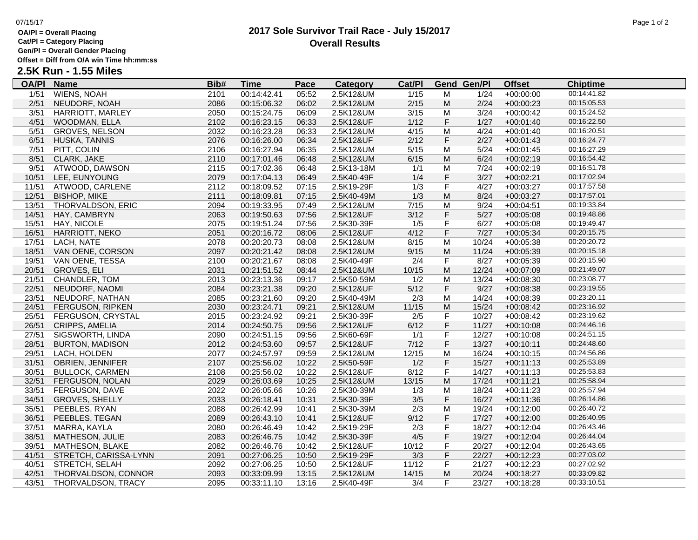# **OA/Pl = Overall Placing**

**Cat/Pl = Category Placing**

**Gen/Pl = Overall Gender Placing**

**Offset = Diff from O/A win Time hh:mm:ss**

# **2.5K Run - 1.55 Miles**

| <b>OA/PI</b> | <b>Name</b>                 | Bib# | <b>Time</b> | Pace  | <b>Category</b> | Cat/PI |             | <b>Gend Gen/Pl</b> | <b>Offset</b> | <b>Chiptime</b> |
|--------------|-----------------------------|------|-------------|-------|-----------------|--------|-------------|--------------------|---------------|-----------------|
| 1/51         | <b>WIENS, NOAH</b>          | 2101 | 00:14:42.41 | 05:52 | 2.5K12&UM       | 1/15   | M           | 1/24               | $+00:00:00$   | 00:14:41.82     |
| 2/51         | NEUDORF, NOAH               | 2086 | 00:15:06.32 | 06:02 | 2.5K12&UM       | 2/15   | M           | 2/24               | $+00:00:23$   | 00:15:05.53     |
| 3/51         | <b>HARRIOTT, MARLEY</b>     | 2050 | 00:15:24.75 | 06:09 | 2.5K12&UM       | 3/15   | M           | 3/24               | $+00:00:42$   | 00:15:24.52     |
| 4/51         | WOODMAN, ELLA               | 2102 | 00:16:23.15 | 06:33 | 2.5K12&UF       | 1/12   | $\mathsf F$ | 1/27               | $+00:01:40$   | 00:16:22.50     |
| 5/51         | <b>GROVES, NELSON</b>       | 2032 | 00:16:23.28 | 06:33 | 2.5K12&UM       | 4/15   | M           | 4/24               | $+00:01:40$   | 00:16:20.51     |
| 6/51         | HUSKA, TANNIS               | 2076 | 00:16:26.00 | 06:34 | 2.5K12&UF       | 2/12   | $\mathsf F$ | 2/27               | $+00:01:43$   | 00:16:24.77     |
| 7/51         | PITT, COLIN                 | 2106 | 00:16:27.94 | 06:35 | 2.5K12&UM       | 5/15   | M           | 5/24               | $+00:01:45$   | 00:16:27.29     |
| 8/51         | CLARK, JAKE                 | 2110 | 00:17:01.46 | 06:48 | 2.5K12&UM       | 6/15   | M           | 6/24               | $+00:02:19$   | 00:16:54.42     |
| 9/51         | ATWOOD, DAWSON              | 2115 | 00:17:02.36 | 06:48 | 2.5K13-18M      | 1/1    | M           | 7/24               | $+00:02:19$   | 00:16:51.78     |
| 10/51        | LEE, EUNYOUNG               | 2079 | 00:17:04.13 | 06:49 | 2.5K40-49F      | 1/4    | F           | 3/27               | $+00:02:21$   | 00:17:02.94     |
| 11/51        | ATWOOD, CARLENE             | 2112 | 00:18:09.52 | 07:15 | 2.5K19-29F      | 1/3    | $\mathsf F$ | 4/27               | $+00:03:27$   | 00:17:57.58     |
| 12/51        | <b>BISHOP, MIKE</b>         | 2111 | 00:18:09.81 | 07:15 | 2.5K40-49M      | 1/3    | M           | 8/24               | $+00:03:27$   | 00:17:57.01     |
| 13/51        | THORVALDSON, ERIC           | 2094 | 00:19:33.95 | 07:49 | 2.5K12&UM       | 7/15   | M           | 9/24               | $+00:04:51$   | 00:19:33.84     |
| 14/51        | HAY, CAMBRYN                | 2063 | 00:19:50.63 | 07:56 | 2.5K12&UF       | 3/12   | $\mathsf F$ | 5/27               | $+00:05:08$   | 00:19:48.86     |
| 15/51        | HAY, NICOLE                 | 2075 | 00:19:51.24 | 07:56 | 2.5K30-39F      | 1/5    | F           | 6/27               | $+00:05:08$   | 00:19:49.47     |
| 16/51        | HARRIOTT, NEKO              | 2051 | 00:20:16.72 | 08:06 | 2.5K12&UF       | 4/12   | $\mathsf F$ | 7/27               | $+00:05:34$   | 00:20:15.75     |
| 17/51        | LACH, NATE                  | 2078 | 00:20:20.73 | 08:08 | 2.5K12&UM       | 8/15   | M           | 10/24              | $+00:05:38$   | 00:20:20.72     |
|              | 18/51 VAN OENE, CORSON      | 2097 | 00:20:21.42 | 08:08 | 2.5K12&UM       | 9/15   | M           | 11/24              | $+00:05:39$   | 00:20:15.18     |
| 19/51        | VAN OENE, TESSA             | 2100 | 00:20:21.67 | 08:08 | 2.5K40-49F      | 2/4    | F           | 8/27               | $+00:05:39$   | 00:20:15.90     |
|              | 20/51 GROVES, ELI           | 2031 | 00:21:51.52 | 08:44 | 2.5K12&UM       | 10/15  | M           | 12/24              | $+00:07:09$   | 00:21:49.07     |
| 21/51        | CHANDLER, TOM               | 2013 | 00:23:13.36 | 09:17 | 2.5K50-59M      | 1/2    | M           | 13/24              | $+00:08:30$   | 00:23:08.77     |
| 22/51        | NEUDORF, NAOMI              | 2084 | 00:23:21.38 | 09:20 | 2.5K12&UF       | $5/12$ | $\mathsf F$ | 9/27               | $+00:08:38$   | 00:23:19.55     |
| 23/51        | NEUDORF, NATHAN             | 2085 | 00:23:21.60 | 09:20 | 2.5K40-49M      | 2/3    | M           | 14/24              | $+00:08:39$   | 00:23:20.11     |
| 24/51        | <b>FERGUSON, RIPKEN</b>     | 2030 | 00:23:24.71 | 09:21 | 2.5K12&UM       | 11/15  | M           | 15/24              | $+00:08:42$   | 00:23:16.92     |
| 25/51        | FERGUSON, CRYSTAL           | 2015 | 00:23:24.92 | 09:21 | 2.5K30-39F      | 2/5    | F           | 10/27              | $+00:08:42$   | 00:23:19.62     |
| 26/51        | CRIPPS, AMELIA              | 2014 | 00:24:50.75 | 09:56 | 2.5K12&UF       | 6/12   | F           | 11/27              | $+00:10:08$   | 00:24:46.16     |
| 27/51        | SIGSWORTH, LINDA            | 2090 | 00:24:51.15 | 09:56 | 2.5K60-69F      | 1/1    | F           | 12/27              | $+00:10:08$   | 00:24:51.15     |
| 28/51        | <b>BURTON, MADISON</b>      | 2012 | 00:24:53.60 | 09:57 | 2.5K12&UF       | 7/12   | F           | 13/27              | $+00:10:11$   | 00:24:48.60     |
| 29/51        | LACH, HOLDEN                | 2077 | 00:24:57.97 | 09:59 | 2.5K12&UM       | 12/15  | M           | 16/24              | $+00:10:15$   | 00:24:56.86     |
|              | 31/51 OBRIEN, JENNIFER      | 2107 | 00:25:56.02 | 10:22 | 2.5K50-59F      | 1/2    | F           | 15/27              | $+00:11:13$   | 00:25:53.89     |
| 30/51        | <b>BULLOCK, CARMEN</b>      | 2108 | 00:25:56.02 | 10:22 | 2.5K12&UF       | 8/12   | F           | 14/27              | $+00:11:13$   | 00:25:53.83     |
| 32/51        | <b>FERGUSON, NOLAN</b>      | 2029 | 00:26:03.69 | 10:25 | 2.5K12&UM       | 13/15  | M           | 17/24              | $+00:11:21$   | 00:25:58.94     |
| 33/51        | FERGUSON, DAVE              | 2022 | 00:26:05.66 | 10:26 | 2.5K30-39M      | 1/3    | M           | 18/24              | $+00:11:23$   | 00:25:57.94     |
| 34/51        | <b>GROVES, SHELLY</b>       | 2033 | 00:26:18.41 | 10:31 | 2.5K30-39F      | 3/5    | F           | 16/27              | $+00:11:36$   | 00:26:14.86     |
| 35/51        | PEEBLES, RYAN               | 2088 | 00:26:42.99 | 10:41 | 2.5K30-39M      | 2/3    | M           | 19/24              | $+00:12:00$   | 00:26:40.72     |
| 36/51        | PEEBLES, TEGAN              | 2089 | 00:26:43.10 | 10:41 | 2.5K12&UF       | 9/12   | F           | 17/27              | $+00:12:00$   | 00:26:40.95     |
| 37/51        | MARRA, KAYLA                | 2080 | 00:26:46.49 | 10:42 | 2.5K19-29F      | 2/3    | F           | 18/27              | $+00:12:04$   | 00:26:43.46     |
| 38/51        | <b>MATHESON, JULIE</b>      | 2083 | 00:26:46.75 | 10:42 | 2.5K30-39F      | 4/5    | F           | 19/27              | $+00:12:04$   | 00:26:44.04     |
| 39/51        | <b>MATHESON, BLAKE</b>      | 2082 | 00:26:46.76 | 10:42 | 2.5K12&UF       | 10/12  | F           | 20/27              | $+00:12:04$   | 00:26:43.65     |
|              | 41/51 STRETCH, CARISSA-LYNN | 2091 | 00:27:06.25 | 10:50 | 2.5K19-29F      | 3/3    | F           | 22/27              | $+00:12:23$   | 00:27:03.02     |
| 40/51        | STRETCH, SELAH              | 2092 | 00:27:06.25 | 10:50 | 2.5K12&UF       | 11/12  | F           | 21/27              | $+00:12:23$   | 00:27:02.92     |
| 42/51        | THORVALDSON, CONNOR         | 2093 | 00:33:09.99 | 13:15 | 2.5K12&UM       | 14/15  | M           | 20/24              | $+00:18:27$   | 00:33:09.82     |
| 43/51        | THORVALDSON, TRACY          | 2095 | 00:33:11.10 | 13:16 | 2.5K40-49F      | 3/4    | F           | 23/27              | $+00:18:28$   | 00:33:10.51     |
|              |                             |      |             |       |                 |        |             |                    |               |                 |

### **2017 Sole Survivor Trail Race - July 15/2017** 07/15/17 Page 1 of 2 **Overall Results**